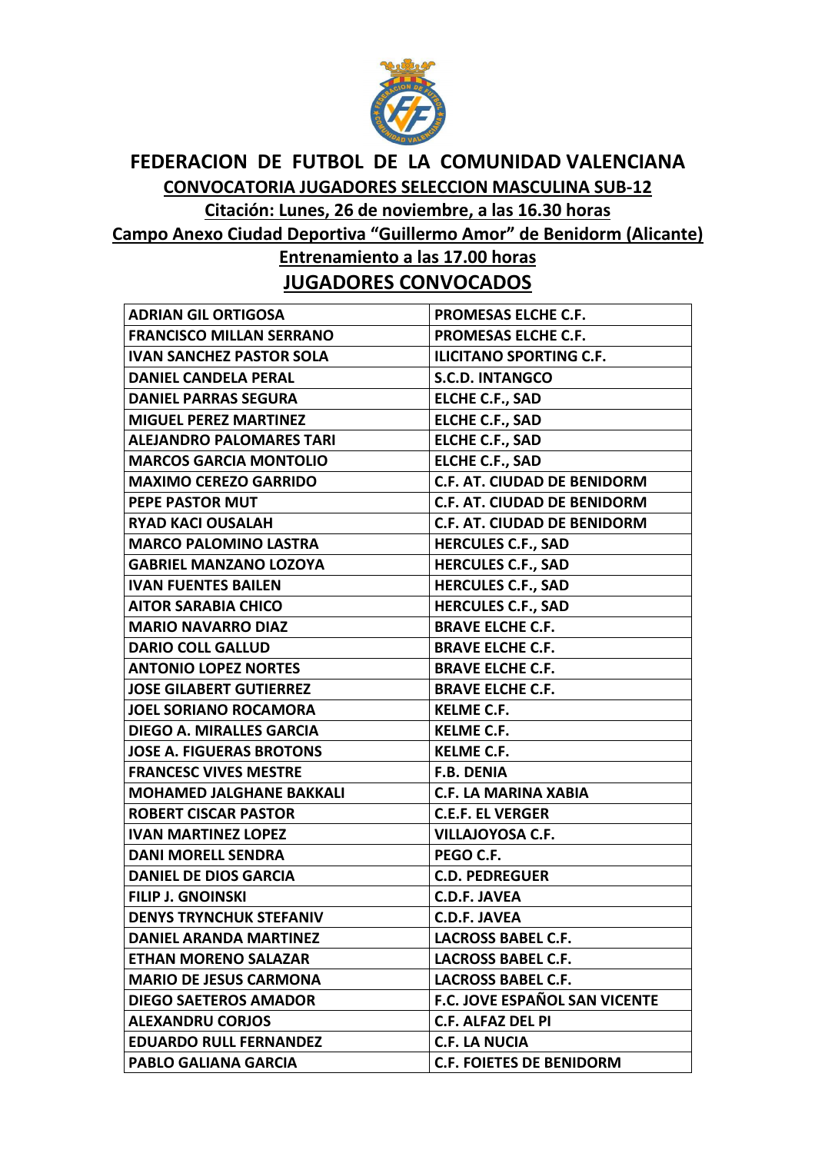

## **FEDERACION DE FUTBOL DE LA COMUNIDAD VALENCIANA CONVOCATORIA JUGADORES SELECCION MASCULINA SUB-12**

**Citación: Lunes, 26 de noviembre, a las 16.30 horas** 

**Campo Anexo Ciudad Deportiva "Guillermo Amor" de Benidorm (Alicante)** 

**Entrenamiento a las 17.00 horas JUGADORES CONVOCADOS** 

| <b>PROMESAS ELCHE C.F.</b>           |
|--------------------------------------|
| <b>PROMESAS ELCHE C.F.</b>           |
| <b>ILICITANO SPORTING C.F.</b>       |
| <b>S.C.D. INTANGCO</b>               |
| <b>ELCHE C.F., SAD</b>               |
| <b>ELCHE C.F., SAD</b>               |
| <b>ELCHE C.F., SAD</b>               |
| <b>ELCHE C.F., SAD</b>               |
| <b>C.F. AT. CIUDAD DE BENIDORM</b>   |
| <b>C.F. AT. CIUDAD DE BENIDORM</b>   |
| <b>C.F. AT. CIUDAD DE BENIDORM</b>   |
| <b>HERCULES C.F., SAD</b>            |
| <b>HERCULES C.F., SAD</b>            |
| <b>HERCULES C.F., SAD</b>            |
| <b>HERCULES C.F., SAD</b>            |
| <b>BRAVE ELCHE C.F.</b>              |
| <b>BRAVE ELCHE C.F.</b>              |
| <b>BRAVE ELCHE C.F.</b>              |
| <b>BRAVE ELCHE C.F.</b>              |
| <b>KELME C.F.</b>                    |
| <b>KELME C.F.</b>                    |
| <b>KELME C.F.</b>                    |
| <b>F.B. DENIA</b>                    |
| <b>C.F. LA MARINA XABIA</b>          |
| <b>C.E.F. EL VERGER</b>              |
| <b>VILLAJOYOSA C.F.</b>              |
| PEGO C.F.                            |
| <b>C.D. PEDREGUER</b>                |
| <b>C.D.F. JAVEA</b>                  |
| <b>C.D.F. JAVEA</b>                  |
| <b>LACROSS BABEL C.F.</b>            |
| <b>LACROSS BABEL C.F.</b>            |
| <b>LACROSS BABEL C.F.</b>            |
| <b>F.C. JOVE ESPAÑOL SAN VICENTE</b> |
| <b>C.F. ALFAZ DEL PI</b>             |
| C.F. LA NUCIA                        |
| <b>C.F. FOIETES DE BENIDORM</b>      |
|                                      |